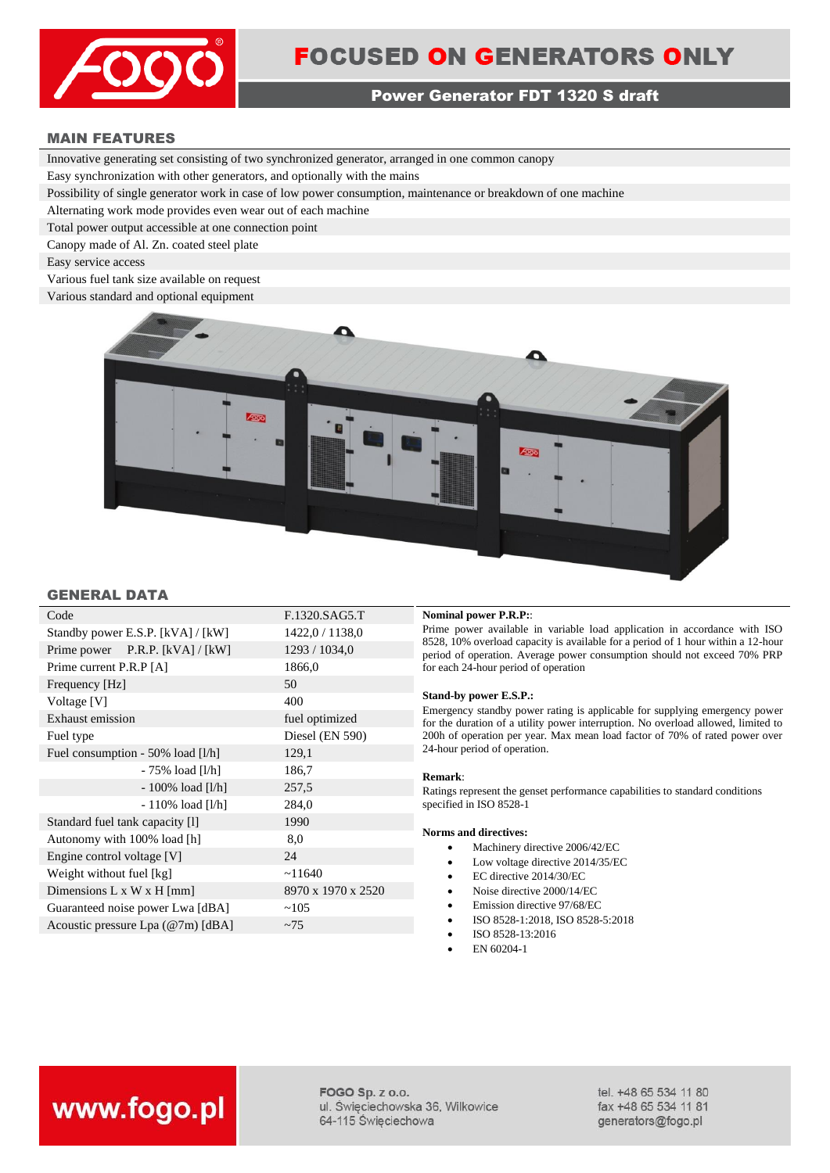

## **FOCUSED ON GENERATORS ONLY**

#### Power Generator FDT 1320 S draft

#### MAIN FEATURES

Innovative generating set consisting of two synchronized generator, arranged in one common canopy

Easy synchronization with other generators, and optionally with the mains

Possibility of single generator work in case of low power consumption, maintenance or breakdown of one machine

Alternating work mode provides even wear out of each machine

Total power output accessible at one connection point

Canopy made of Al. Zn. coated steel plate

Easy service access

Various fuel tank size available on request

Various standard and optional equipment



#### GENERAL DATA

| Code                              | F.1320.SAG5.T      |
|-----------------------------------|--------------------|
| Standby power E.S.P. [kVA] / [kW] | 1422,0 / 1138,0    |
| Prime power $P.R.P. [kVA] / [kW]$ | 1293 / 1034,0      |
| Prime current P.R.P [A]           | 1866,0             |
| Frequency [Hz]                    | 50                 |
| Voltage [V]                       | 400                |
| Exhaust emission                  | fuel optimized     |
| Fuel type                         | Diesel (EN 590)    |
| Fuel consumption - 50% load [l/h] | 129,1              |
| - 75% load [l/h]                  | 186,7              |
| $-100\%$ load [l/h]               | 257,5              |
| $-110\%$ load [l/h]               | 284,0              |
| Standard fuel tank capacity [1]   | 1990               |
| Autonomy with 100% load [h]       | 8,0                |
| Engine control voltage [V]        | 24                 |
| Weight without fuel [kg]          | ~11640             |
| Dimensions L x W x H [mm]         | 8970 x 1970 x 2520 |
| Guaranteed noise power Lwa [dBA]  | ~105               |
| Acoustic pressure Lpa (@7m) [dBA] | ~1                 |

#### **Nominal power P.R.P::**

Prime power available in variable load application in accordance with ISO 8528, 10% overload capacity is available for a period of 1 hour within a 12-hour period of operation. Average power consumption should not exceed 70% PRP for each 24-hour period of operation

#### **Stand-by power E.S.P.:**

Emergency standby power rating is applicable for supplying emergency power for the duration of a utility power interruption. No overload allowed, limited to 200h of operation per year. Max mean load factor of 70% of rated power over 24-hour period of operation.

#### **Remark**:

Ratings represent the genset performance capabilities to standard conditions specified in ISO 8528-1

#### **Norms and directives:**

- Machinery directive 2006/42/EC
- Low voltage directive 2014/35/EC
- EC directive 2014/30/EC
- Noise directive 2000/14/EC
- Emission directive 97/68/EC
- ISO 8528-1:2018, ISO 8528-5:2018
- ISO 8528-13:2016
- EN 60204-1

## www.fogo.pl

FOGO Sp. z o.o. ul. Święciechowska 36, Wilkowice 64-115 Święciechowa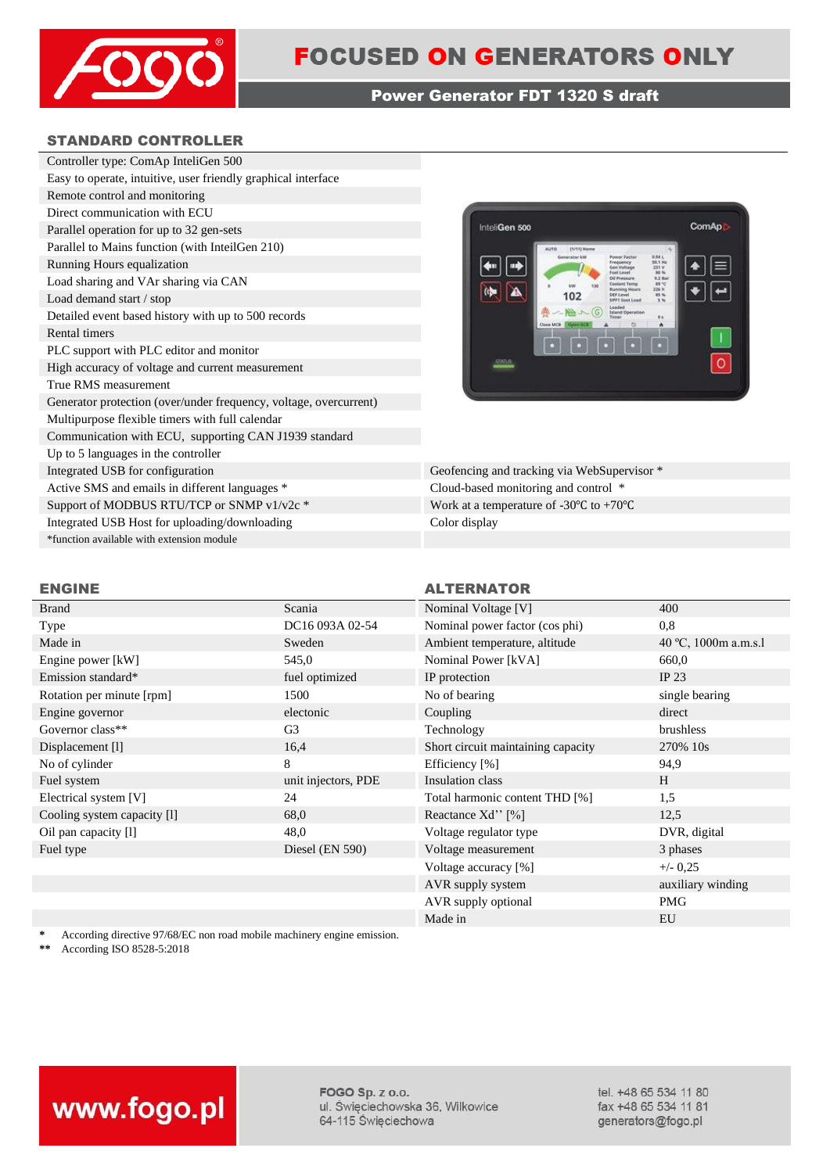

#### Power Generator FDT 1320 S draft

#### STANDARD CONTROLLER

| Controller type: ComAp InteliGen 500                              |  |  |
|-------------------------------------------------------------------|--|--|
| Easy to operate, intuitive, user friendly graphical interface     |  |  |
| Remote control and monitoring                                     |  |  |
| Direct communication with ECU                                     |  |  |
| Parallel operation for up to 32 gen-sets                          |  |  |
| Parallel to Mains function (with InteilGen 210)                   |  |  |
| Running Hours equalization                                        |  |  |
| Load sharing and VAr sharing via CAN                              |  |  |
| Load demand start / stop                                          |  |  |
| Detailed event based history with up to 500 records               |  |  |
| Rental timers                                                     |  |  |
| PLC support with PLC editor and monitor                           |  |  |
| High accuracy of voltage and current measurement                  |  |  |
| True RMS measurement                                              |  |  |
| Generator protection (over/under frequency, voltage, overcurrent) |  |  |
| Multipurpose flexible timers with full calendar                   |  |  |
| Communication with ECU, supporting CAN J1939 standard             |  |  |
| Up to 5 languages in the controller                               |  |  |
| Integrated USB for configuration                                  |  |  |
| Active SMS and emails in different languages *                    |  |  |
| Support of MODBUS RTU/TCP or SNMP v1/v2c *                        |  |  |
| Integrated USB Host for uploading/downloading                     |  |  |
| *function available with extension module                         |  |  |
|                                                                   |  |  |



Geofencing and tracking via WebSupervisor \* Cloud-based monitoring and control  $*$ Work at a temperature of -30 $\degree$ C to +70 $\degree$ C Color display

#### ENGINE ALTERNATOR

#### Brand Scania Scania Nominal Voltage [V] 400 Type DC16 093A 02-54 Nominal power factor (cos phi) 0,8 Made in Sweden Sweden Ambient temperature, altitude 40 °C, 1000m a.m.s.l Engine power [kW] 545,0 Nominal Power [kVA] 660,0 Emission standard\* **Emission standard\* fuel optimized IP** protection **IP** 23 Rotation per minute [rpm] 1500 No of bearing single bearing single bearing single bearing Engine governor and the electonic coupling coupling direct direct direct direct direct direct direct direct direct direct direct direct direct direct direct direct direct direct direct direct direct direct direct direct di Governor class<sup>\*\*</sup> G3 G<sub>3</sub> Technology brushless Displacement [1] 16,4 Short circuit maintaining capacity 270% 10s No of cylinder 8 and 2013 8 Efficiency [%] 94,9 Fuel system unit injectors, PDE Insulation class H Electrical system [V] 24 Total harmonic content THD [%] 1,5 Cooling system capacity [l] 68,0 Reactance Xd'' [%] 12,5 Oil pan capacity [1] 48,0 Voltage regulator type DVR, digital Fuel type Diesel (EN 590) Voltage measurement 3 phases 3 phases

# Voltage accuracy  $[\%]$   $+/- 0,25$ AVR supply system auxiliary winding AVR supply optional PMG Made in EU

\* According directive 97/68/EC non road mobile machinery engine emission.<br>\*\* Associated FO 8528, 5:2018

**\*\*** According ISO 8528-5:2018



FOGO Sp. z o.o. ul. Święciechowska 36, Wilkowice 64-115 Święciechowa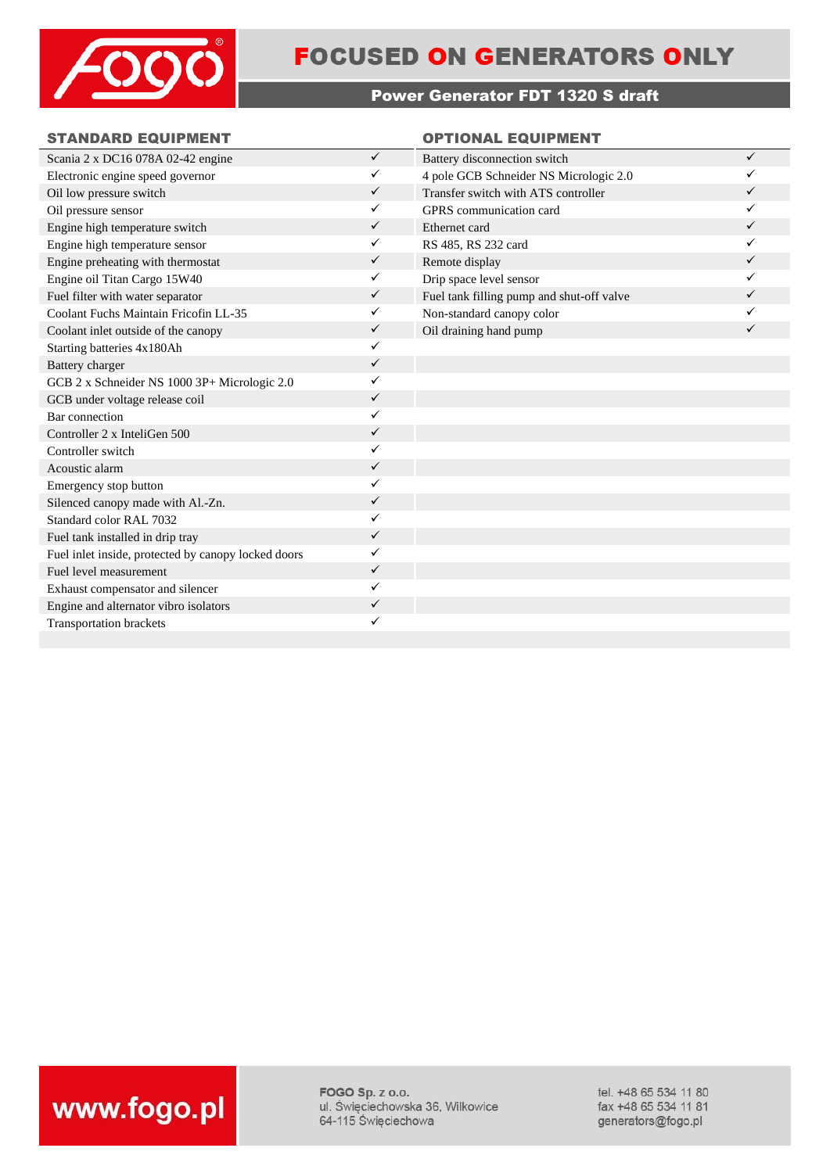

## **FOCUSED ON GENERATORS ONLY**

### Power Generator FDT 1320 S draft

#### STANDARD EQUIPMENT **CONSIDERING CONTIONAL EQUIPMENT**

| Scania 2 x DC16 078A 02-42 engine                   | $\checkmark$ | Battery disconnection switch              | $\checkmark$ |
|-----------------------------------------------------|--------------|-------------------------------------------|--------------|
| Electronic engine speed governor                    | ✓            | 4 pole GCB Schneider NS Micrologic 2.0    | ✓            |
| Oil low pressure switch                             | $\checkmark$ | Transfer switch with ATS controller       | ✓            |
| Oil pressure sensor                                 | ✓            | GPRS communication card                   | ✓            |
| Engine high temperature switch                      | $\checkmark$ | Ethernet card                             | ✓            |
| Engine high temperature sensor                      | ✓            | RS 485, RS 232 card                       | ✓            |
| Engine preheating with thermostat                   | $\checkmark$ | Remote display                            | ✓            |
| Engine oil Titan Cargo 15W40                        | ✓            | Drip space level sensor                   | ✓            |
| Fuel filter with water separator                    | $\checkmark$ | Fuel tank filling pump and shut-off valve | ✓            |
| Coolant Fuchs Maintain Fricofin LL-35               | ✓            | Non-standard canopy color                 | ✓            |
| Coolant inlet outside of the canopy                 | $\checkmark$ | Oil draining hand pump                    | ✓            |
| Starting batteries 4x180Ah                          | ✓            |                                           |              |
| Battery charger                                     | $\checkmark$ |                                           |              |
| GCB 2 x Schneider NS 1000 3P+ Micrologic 2.0        | ✓            |                                           |              |
| GCB under voltage release coil                      | $\checkmark$ |                                           |              |
| Bar connection                                      | ✓            |                                           |              |
| Controller 2 x InteliGen 500                        | $\checkmark$ |                                           |              |
| Controller switch                                   | ✓            |                                           |              |
| Acoustic alarm                                      | $\checkmark$ |                                           |              |
| Emergency stop button                               | ✓            |                                           |              |
| Silenced canopy made with Al.-Zn.                   | ✓            |                                           |              |
| Standard color RAL 7032                             | ✓            |                                           |              |
| Fuel tank installed in drip tray                    | $\checkmark$ |                                           |              |
| Fuel inlet inside, protected by canopy locked doors | ✓            |                                           |              |
| Fuel level measurement                              | $\checkmark$ |                                           |              |
| Exhaust compensator and silencer                    | ✓            |                                           |              |
| Engine and alternator vibro isolators               | $\checkmark$ |                                           |              |
| <b>Transportation brackets</b>                      | ✓            |                                           |              |
|                                                     |              |                                           |              |



FOGO Sp. z o.o. ul. Święciechowska 36, Wilkowice 64-115 Święciechowa